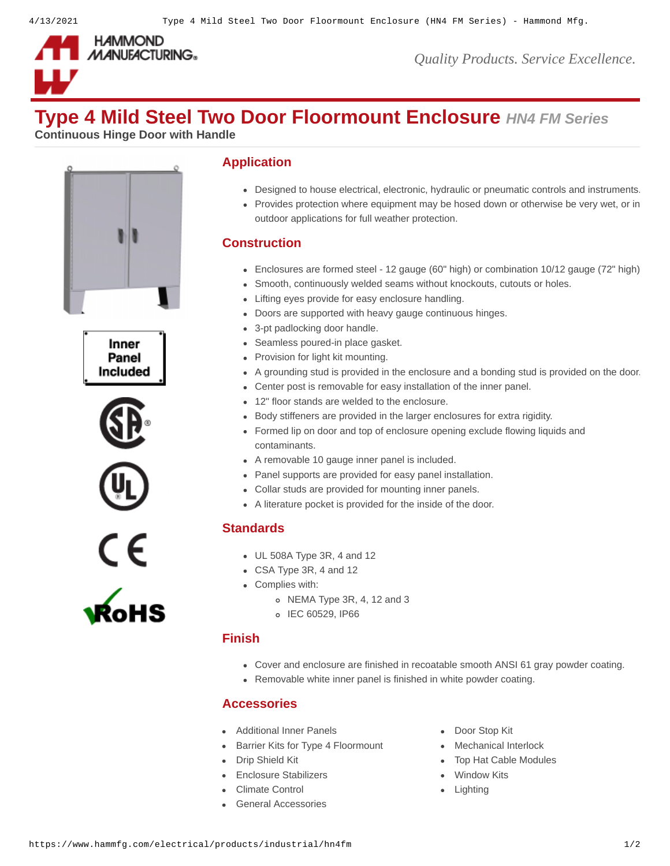

*Quality Products. Service Excellence.*

# **Type 4 Mild Steel Two Door Floormount Enclosure** *HN4 FM Series*

**Continuous Hinge Door with Handle**











## **Application**

- Designed to house electrical, electronic, hydraulic or pneumatic controls and instruments.
- Provides protection where equipment may be hosed down or otherwise be very wet, or in outdoor applications for full weather protection.

## **Construction**

- Enclosures are formed steel 12 gauge (60" high) or combination 10/12 gauge (72" high)
- Smooth, continuously welded seams without knockouts, cutouts or holes.
- Lifting eyes provide for easy enclosure handling.
- Doors are supported with heavy gauge continuous hinges.
- 3-pt padlocking door handle.
- Seamless poured-in place gasket.
- Provision for light kit mounting.
- A grounding stud is provided in the enclosure and a bonding stud is provided on the door.
- Center post is removable for easy installation of the inner panel.
- 12" floor stands are welded to the enclosure.
- Body stiffeners are provided in the larger enclosures for extra rigidity.
- Formed lip on door and top of enclosure opening exclude flowing liquids and contaminants.
- A removable 10 gauge inner panel is included.
- Panel supports are provided for easy panel installation.
- Collar studs are provided for mounting inner panels.
- A literature pocket is provided for the inside of the door.

#### **Standards**

- UL 508A Type 3R, 4 and 12
- CSA Type 3R, 4 and 12
- Complies with:
	- o NEMA Type 3R, 4, 12 and 3
	- o IEC 60529, IP66

#### **Finish**

- Cover and enclosure are finished in recoatable smooth ANSI 61 gray powder coating.
- Removable white inner panel is finished in white powder coating.

#### **Accessories**

- [Additional Inner Panels](https://www.hammfg.com/electrical/products/accessories/22p?referer=100&itm_type=accessory) **[Door Stop Kit](https://www.hammfg.com/electrical/products/accessories/dstopk?referer=100&itm_type=accessory)**
- [Barrier Kits for Type 4 Floormount](https://www.hammfg.com/electrical/products/accessories/bkfm?referer=100&itm_type=accessory) [Mechanical Interlock](https://www.hammfg.com/electrical/products/accessories/mikit?referer=100&itm_type=accessory)
- 
- [Enclosure Stabilizers](https://www.hammfg.com/electrical/products/accessories/1481es?referer=100&itm_type=accessory) **[Window Kits](https://www.hammfg.com/electrical/products/accessories/window?referer=100&itm_type=accessory)**
- [Climate Control](https://www.hammfg.com/electrical/products/climate?referer=100&itm_type=accessory) **Control Climate Control**
- [General Accessories](https://www.hammfg.com/electrical/products/accessories?referer=100&itm_type=accessory)
- 
- 
- [Drip Shield Kit](https://www.hammfg.com/electrical/products/accessories/1481s?referer=100&itm_type=accessory) [Top Hat Cable Modules](https://www.hammfg.com/electrical/products/accessories/hth?referer=100&itm_type=accessory)
	-
	-